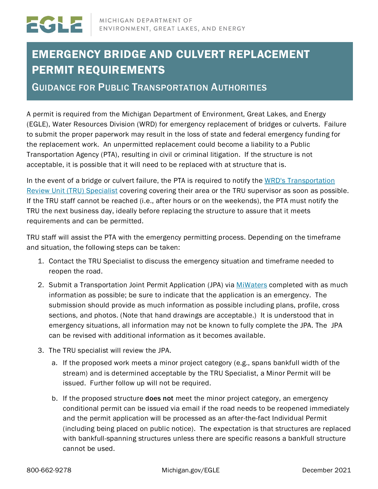## EMERGENCY BRIDGE AND CULVERT REPLACEMENT PERMIT REQUIREMENTS

GUIDANCE FOR PUBLIC TRANSPORTATION AUTHORITIES

A permit is required from the Michigan Department of Environment, Great Lakes, and Energy (EGLE), Water Resources Division (WRD) for emergency replacement of bridges or culverts. Failure to submit the proper paperwork may result in the loss of state and federal emergency funding for the replacement work. An unpermitted replacement could become a liability to a Public Transportation Agency (PTA), resulting in civil or criminal litigation. If the structure is not acceptable, it is possible that it will need to be replaced with at structure that is.

In the event of a bridge or culvert failure, the PTA is required to notify the WRD's Transportation [Review Unit \(TRU\) Specialist](https://www.michigan.gov/documents/deq/wrd-trans-permits-staff_402906_7.pdf) covering covering their area or the TRU supervisor as soon as possible. If the TRU staff cannot be reached (i.e., after hours or on the weekends), the PTA must notify the TRU the next business day, ideally before replacing the structure to assure that it meets requirements and can be permitted.

TRU staff will assist the PTA with the emergency permitting process. Depending on the timeframe and situation, the following steps can be taken:

- 1. Contact the TRU Specialist to discuss the emergency situation and timeframe needed to reopen the road.
- 2. Submit a Transportation Joint Permit Application (JPA) via [MiWaters](https://www.michigan.gov/egle/0,9429,7-135-3313_72753---,00.html) completed with as much information as possible; be sure to indicate that the application is an emergency. The submission should provide as much information as possible including plans, profile, cross sections, and photos. (Note that hand drawings are acceptable.) It is understood that in emergency situations, all information may not be known to fully complete the JPA. The JPA can be revised with additional information as it becomes available.
- 3. The TRU specialist will review the JPA.
	- a. If the proposed work meets a minor project category (e.g., spans bankfull width of the stream) and is determined acceptable by the TRU Specialist, a Minor Permit will be issued. Further follow up will not be required.
	- b. If the proposed structure does not meet the minor project category, an emergency conditional permit can be issued via email if the road needs to be reopened immediately and the permit application will be processed as an after-the-fact Individual Permit (including being placed on public notice). The expectation is that structures are replaced with bankfull-spanning structures unless there are specific reasons a bankfull structure cannot be used.